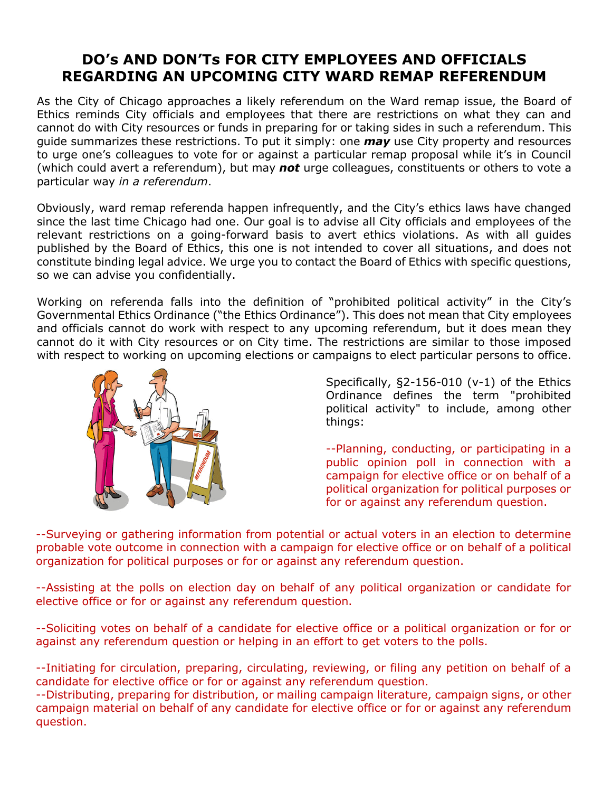## **DO's AND DON'Ts FOR CITY EMPLOYEES AND OFFICIALS REGARDING AN UPCOMING CITY WARD REMAP REFERENDUM**

As the City of Chicago approaches a likely referendum on the Ward remap issue, the Board of Ethics reminds City officials and employees that there are restrictions on what they can and cannot do with City resources or funds in preparing for or taking sides in such a referendum. This guide summarizes these restrictions. To put it simply: one *may* use City property and resources to urge one's colleagues to vote for or against a particular remap proposal while it's in Council (which could avert a referendum), but may *not* urge colleagues, constituents or others to vote a particular way *in a referendum*.

Obviously, ward remap referenda happen infrequently, and the City's ethics laws have changed since the last time Chicago had one. Our goal is to advise all City officials and employees of the relevant restrictions on a going-forward basis to avert ethics violations. As with all guides published by the Board of Ethics, this one is not intended to cover all situations, and does not constitute binding legal advice. We urge you to contact the Board of Ethics with specific questions, so we can advise you confidentially.

Working on referenda falls into the definition of "prohibited political activity" in the City's Governmental Ethics Ordinance ("the Ethics Ordinance"). This does not mean that City employees and officials cannot do work with respect to any upcoming referendum, but it does mean they cannot do it with City resources or on City time. The restrictions are similar to those imposed with respect to working on upcoming elections or campaigns to elect particular persons to office.



Specifically, §2-156-010 (v-1) of the Ethics Ordinance defines the term "prohibited political activity" to include, among other things:

--Planning, conducting, or participating in a public opinion poll in connection with a campaign for elective office or on behalf of a political organization for political purposes or for or against any referendum question.

--Surveying or gathering information from potential or actual voters in an election to determine probable vote outcome in connection with a campaign for elective office or on behalf of a political organization for political purposes or for or against any referendum question.

--Assisting at the polls on election day on behalf of any political organization or candidate for elective office or for or against any referendum question.

--Soliciting votes on behalf of a candidate for elective office or a political organization or for or against any referendum question or helping in an effort to get voters to the polls.

--Initiating for circulation, preparing, circulating, reviewing, or filing any petition on behalf of a candidate for elective office or for or against any referendum question.

--Distributing, preparing for distribution, or mailing campaign literature, campaign signs, or other campaign material on behalf of any candidate for elective office or for or against any referendum question.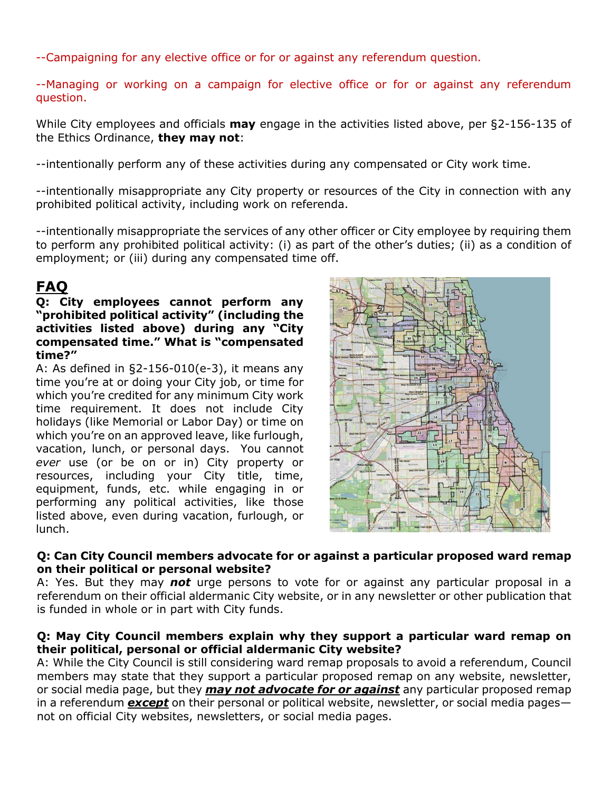--Campaigning for any elective office or for or against any referendum question.

--Managing or working on a campaign for elective office or for or against any referendum question.

While City employees and officials **may** engage in the activities listed above, per §2-156-135 of the Ethics Ordinance, **they may not**:

--intentionally perform any of these activities during any compensated or City work time.

--intentionally misappropriate any City property or resources of the City in connection with any prohibited political activity, including work on referenda.

--intentionally misappropriate the services of any other officer or City employee by requiring them to perform any prohibited political activity: (i) as part of the other's duties; (ii) as a condition of employment; or (iii) during any compensated time off.

# **FAQ**

#### **Q: City employees cannot perform any "prohibited political activity" (including the activities listed above) during any "City compensated time." What is "compensated time?"**

A: As defined in §2-156-010(e-3), it means any time you're at or doing your City job, or time for which you're credited for any minimum City work time requirement. It does not include City holidays (like Memorial or Labor Day) or time on which you're on an approved leave, like furlough, vacation, lunch, or personal days. You cannot *ever* use (or be on or in) City property or resources, including your City title, time, equipment, funds, etc. while engaging in or performing any political activities, like those listed above, even during vacation, furlough, or lunch.



### **Q: Can City Council members advocate for or against a particular proposed ward remap on their political or personal website?**

A: Yes. But they may *not* urge persons to vote for or against any particular proposal in a referendum on their official aldermanic City website, or in any newsletter or other publication that is funded in whole or in part with City funds.

### **Q: May City Council members explain why they support a particular ward remap on their political, personal or official aldermanic City website?**

A: While the City Council is still considering ward remap proposals to avoid a referendum, Council members may state that they support a particular proposed remap on any website, newsletter, or social media page, but they *may not advocate for or against* any particular proposed remap in a referendum *except* on their personal or political website, newsletter, or social media pages not on official City websites, newsletters, or social media pages.